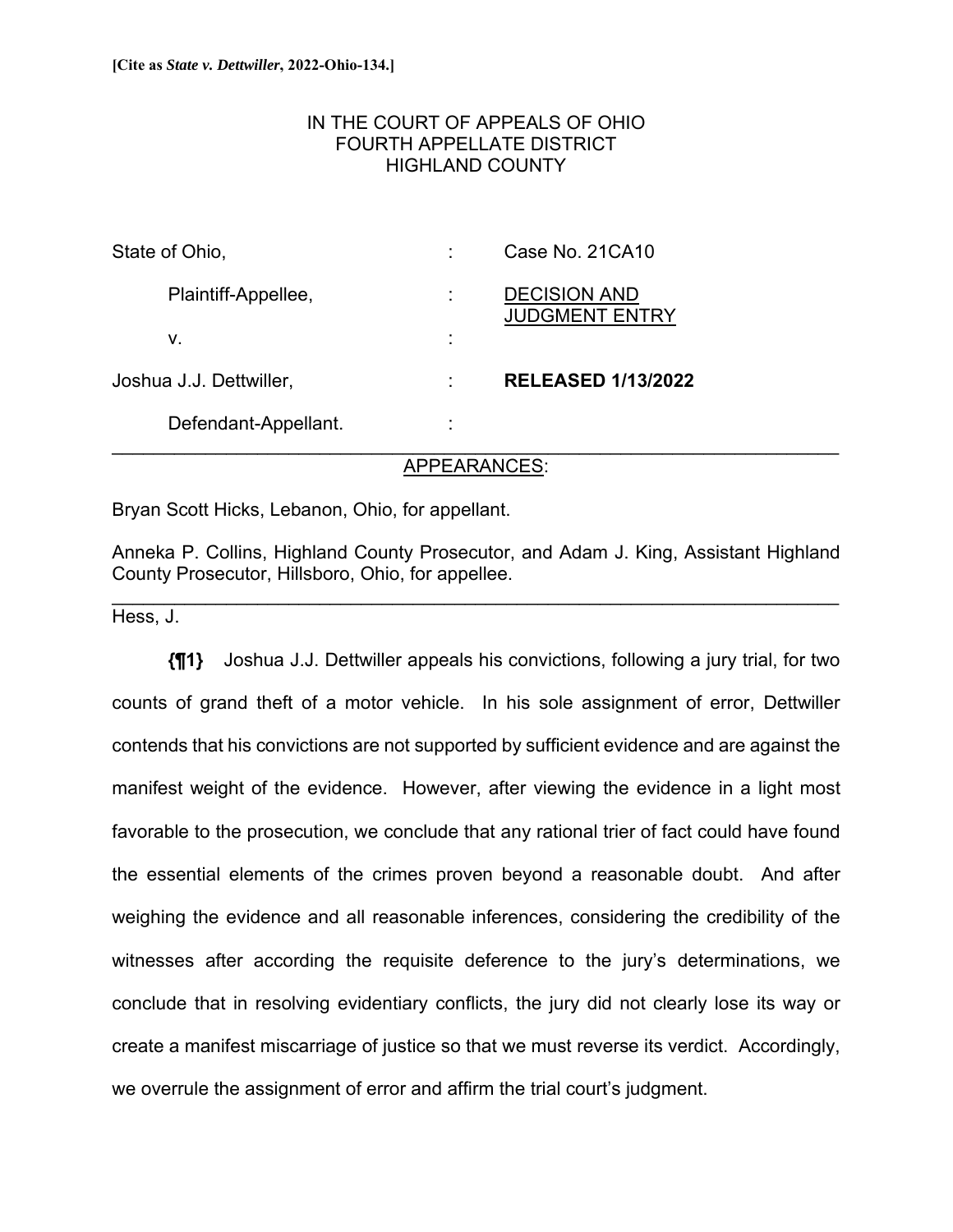# IN THE COURT OF APPEALS OF OHIO FOURTH APPELLATE DISTRICT HIGHLAND COUNTY

| State of Ohio,          | ٠                   | Case No. 21CA10                              |
|-------------------------|---------------------|----------------------------------------------|
| Plaintiff-Appellee,     | ٠<br>÷.             | <b>DECISION AND</b><br><b>JUDGMENT ENTRY</b> |
| ν.                      | ٠<br>$\blacksquare$ |                                              |
| Joshua J.J. Dettwiller, | ٠                   | <b>RELEASED 1/13/2022</b>                    |
| Defendant-Appellant.    | ÷                   |                                              |

# APPEARANCES:

Bryan Scott Hicks, Lebanon, Ohio, for appellant.

Anneka P. Collins, Highland County Prosecutor, and Adam J. King, Assistant Highland County Prosecutor, Hillsboro, Ohio, for appellee.

 $\mathcal{L}_\mathcal{L} = \{ \mathcal{L}_\mathcal{L} = \{ \mathcal{L}_\mathcal{L} = \{ \mathcal{L}_\mathcal{L} = \{ \mathcal{L}_\mathcal{L} = \{ \mathcal{L}_\mathcal{L} = \{ \mathcal{L}_\mathcal{L} = \{ \mathcal{L}_\mathcal{L} = \{ \mathcal{L}_\mathcal{L} = \{ \mathcal{L}_\mathcal{L} = \{ \mathcal{L}_\mathcal{L} = \{ \mathcal{L}_\mathcal{L} = \{ \mathcal{L}_\mathcal{L} = \{ \mathcal{L}_\mathcal{L} = \{ \mathcal{L}_\mathcal{$ 

Hess, J.

**{¶1}** Joshua J.J. Dettwiller appeals his convictions, following a jury trial, for two counts of grand theft of a motor vehicle. In his sole assignment of error, Dettwiller contends that his convictions are not supported by sufficient evidence and are against the manifest weight of the evidence. However, after viewing the evidence in a light most favorable to the prosecution, we conclude that any rational trier of fact could have found the essential elements of the crimes proven beyond a reasonable doubt. And after weighing the evidence and all reasonable inferences, considering the credibility of the witnesses after according the requisite deference to the jury's determinations, we conclude that in resolving evidentiary conflicts, the jury did not clearly lose its way or create a manifest miscarriage of justice so that we must reverse its verdict. Accordingly, we overrule the assignment of error and affirm the trial court's judgment.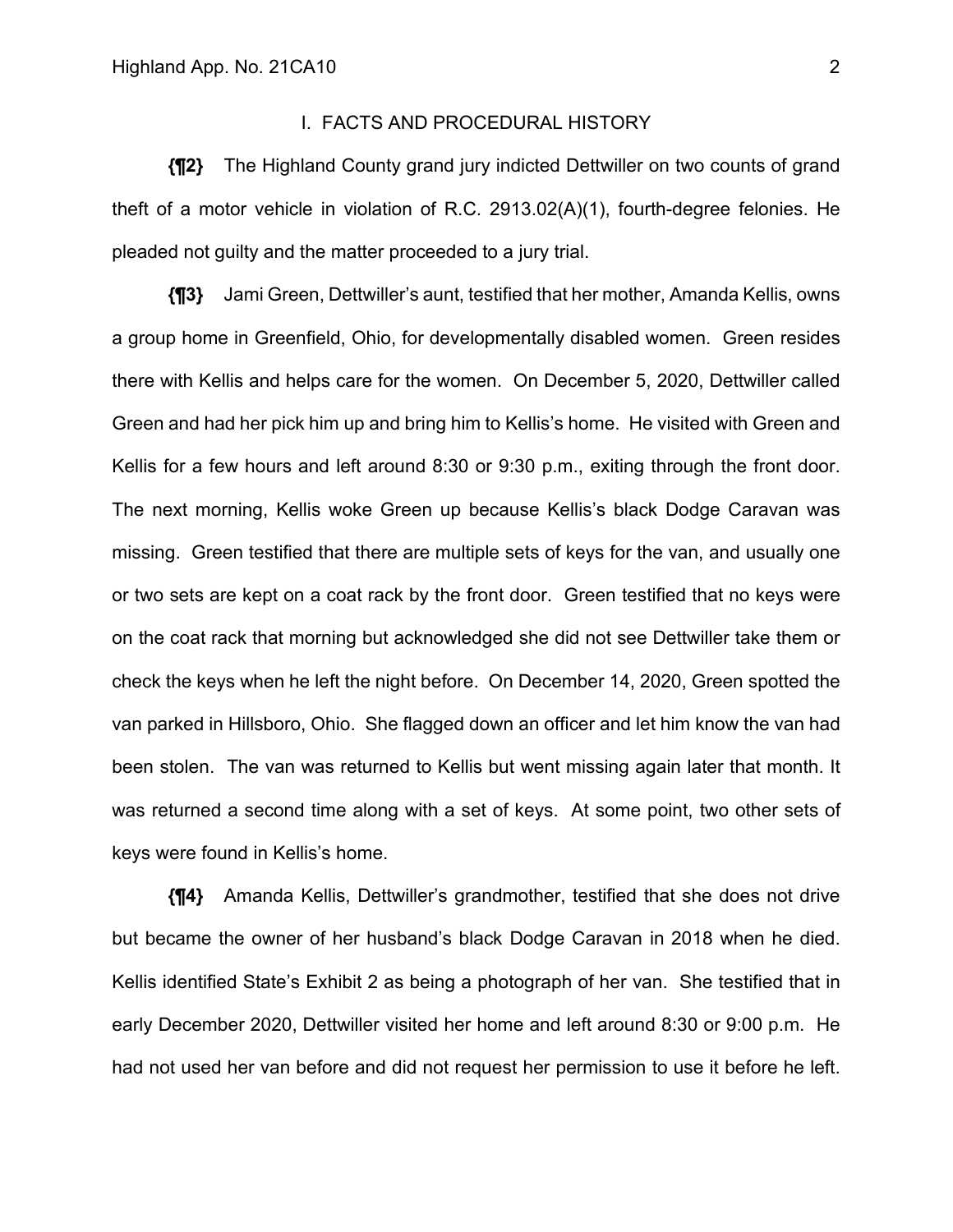## I. FACTS AND PROCEDURAL HISTORY

**{¶2}** The Highland County grand jury indicted Dettwiller on two counts of grand theft of a motor vehicle in violation of R.C. 2913.02(A)(1), fourth-degree felonies. He pleaded not guilty and the matter proceeded to a jury trial.

**{¶3}** Jami Green, Dettwiller's aunt, testified that her mother, Amanda Kellis, owns a group home in Greenfield, Ohio, for developmentally disabled women. Green resides there with Kellis and helps care for the women. On December 5, 2020, Dettwiller called Green and had her pick him up and bring him to Kellis's home. He visited with Green and Kellis for a few hours and left around 8:30 or 9:30 p.m., exiting through the front door. The next morning, Kellis woke Green up because Kellis's black Dodge Caravan was missing. Green testified that there are multiple sets of keys for the van, and usually one or two sets are kept on a coat rack by the front door. Green testified that no keys were on the coat rack that morning but acknowledged she did not see Dettwiller take them or check the keys when he left the night before. On December 14, 2020, Green spotted the van parked in Hillsboro, Ohio. She flagged down an officer and let him know the van had been stolen. The van was returned to Kellis but went missing again later that month. It was returned a second time along with a set of keys. At some point, two other sets of keys were found in Kellis's home.

**{¶4}** Amanda Kellis, Dettwiller's grandmother, testified that she does not drive but became the owner of her husband's black Dodge Caravan in 2018 when he died. Kellis identified State's Exhibit 2 as being a photograph of her van. She testified that in early December 2020, Dettwiller visited her home and left around 8:30 or 9:00 p.m. He had not used her van before and did not request her permission to use it before he left.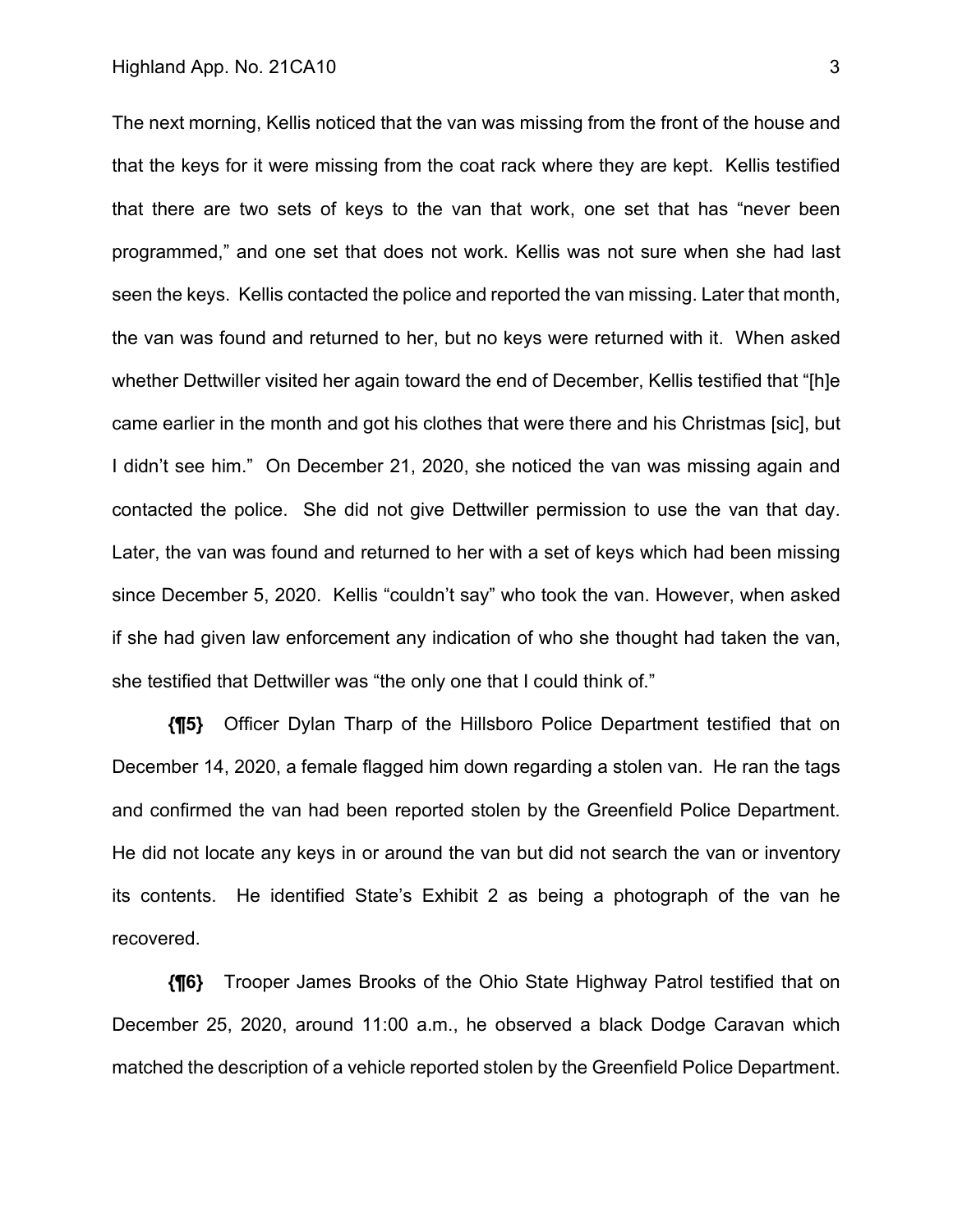### Highland App. No. 21CA10 3

The next morning, Kellis noticed that the van was missing from the front of the house and that the keys for it were missing from the coat rack where they are kept. Kellis testified that there are two sets of keys to the van that work, one set that has "never been programmed," and one set that does not work. Kellis was not sure when she had last seen the keys. Kellis contacted the police and reported the van missing. Later that month, the van was found and returned to her, but no keys were returned with it. When asked whether Dettwiller visited her again toward the end of December, Kellis testified that "[h]e came earlier in the month and got his clothes that were there and his Christmas [sic], but I didn't see him." On December 21, 2020, she noticed the van was missing again and contacted the police. She did not give Dettwiller permission to use the van that day. Later, the van was found and returned to her with a set of keys which had been missing since December 5, 2020. Kellis "couldn't say" who took the van. However, when asked if she had given law enforcement any indication of who she thought had taken the van, she testified that Dettwiller was "the only one that I could think of."

**{¶5}** Officer Dylan Tharp of the Hillsboro Police Department testified that on December 14, 2020, a female flagged him down regarding a stolen van. He ran the tags and confirmed the van had been reported stolen by the Greenfield Police Department. He did not locate any keys in or around the van but did not search the van or inventory its contents. He identified State's Exhibit 2 as being a photograph of the van he recovered.

**{¶6}** Trooper James Brooks of the Ohio State Highway Patrol testified that on December 25, 2020, around 11:00 a.m., he observed a black Dodge Caravan which matched the description of a vehicle reported stolen by the Greenfield Police Department.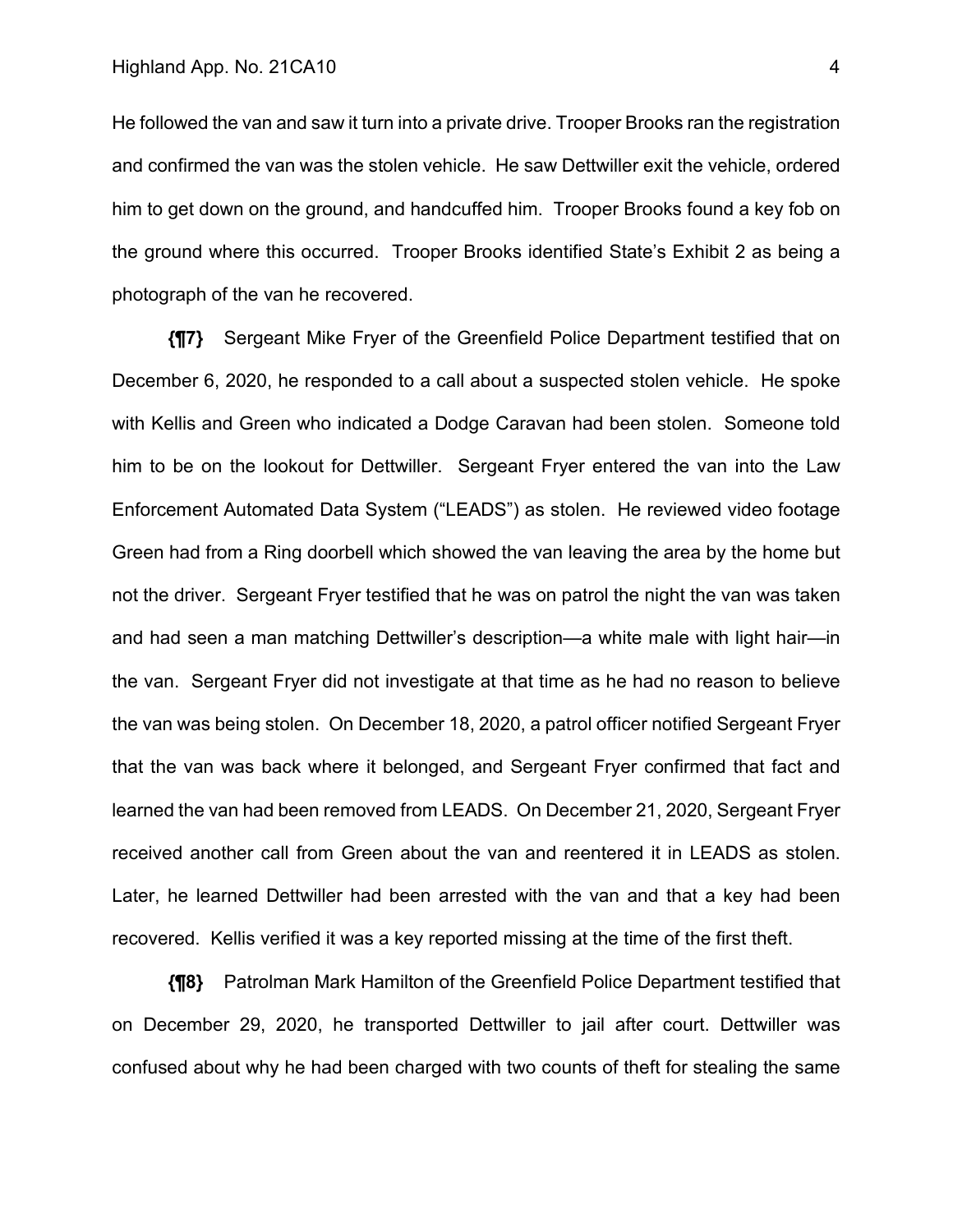He followed the van and saw it turn into a private drive. Trooper Brooks ran the registration and confirmed the van was the stolen vehicle. He saw Dettwiller exit the vehicle, ordered him to get down on the ground, and handcuffed him. Trooper Brooks found a key fob on the ground where this occurred. Trooper Brooks identified State's Exhibit 2 as being a photograph of the van he recovered.

**{¶7}** Sergeant Mike Fryer of the Greenfield Police Department testified that on December 6, 2020, he responded to a call about a suspected stolen vehicle. He spoke with Kellis and Green who indicated a Dodge Caravan had been stolen. Someone told him to be on the lookout for Dettwiller. Sergeant Fryer entered the van into the Law Enforcement Automated Data System ("LEADS") as stolen. He reviewed video footage Green had from a Ring doorbell which showed the van leaving the area by the home but not the driver. Sergeant Fryer testified that he was on patrol the night the van was taken and had seen a man matching Dettwiller's description—a white male with light hair—in the van. Sergeant Fryer did not investigate at that time as he had no reason to believe the van was being stolen. On December 18, 2020, a patrol officer notified Sergeant Fryer that the van was back where it belonged, and Sergeant Fryer confirmed that fact and learned the van had been removed from LEADS. On December 21, 2020, Sergeant Fryer received another call from Green about the van and reentered it in LEADS as stolen. Later, he learned Dettwiller had been arrested with the van and that a key had been recovered. Kellis verified it was a key reported missing at the time of the first theft.

**{¶8}** Patrolman Mark Hamilton of the Greenfield Police Department testified that on December 29, 2020, he transported Dettwiller to jail after court. Dettwiller was confused about why he had been charged with two counts of theft for stealing the same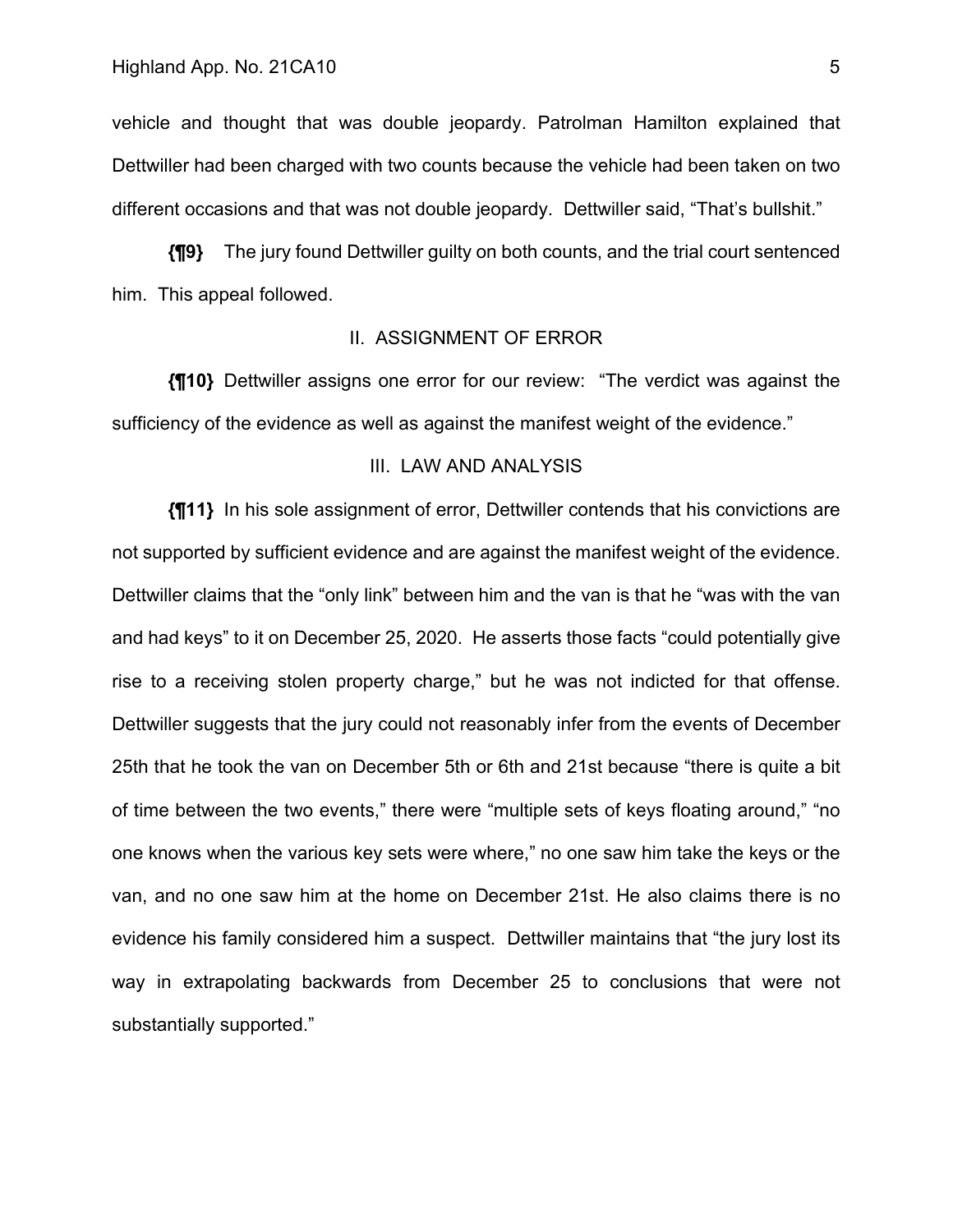vehicle and thought that was double jeopardy. Patrolman Hamilton explained that Dettwiller had been charged with two counts because the vehicle had been taken on two different occasions and that was not double jeopardy. Dettwiller said, "That's bullshit."

**{¶9}** The jury found Dettwiller guilty on both counts, and the trial court sentenced him. This appeal followed.

## II. ASSIGNMENT OF ERROR

**{¶10}** Dettwiller assigns one error for our review: "The verdict was against the sufficiency of the evidence as well as against the manifest weight of the evidence."

### III. LAW AND ANALYSIS

**{¶11}** In his sole assignment of error, Dettwiller contends that his convictions are not supported by sufficient evidence and are against the manifest weight of the evidence. Dettwiller claims that the "only link" between him and the van is that he "was with the van and had keys" to it on December 25, 2020. He asserts those facts "could potentially give rise to a receiving stolen property charge," but he was not indicted for that offense. Dettwiller suggests that the jury could not reasonably infer from the events of December 25th that he took the van on December 5th or 6th and 21st because "there is quite a bit of time between the two events," there were "multiple sets of keys floating around," "no one knows when the various key sets were where," no one saw him take the keys or the van, and no one saw him at the home on December 21st. He also claims there is no evidence his family considered him a suspect. Dettwiller maintains that "the jury lost its way in extrapolating backwards from December 25 to conclusions that were not substantially supported."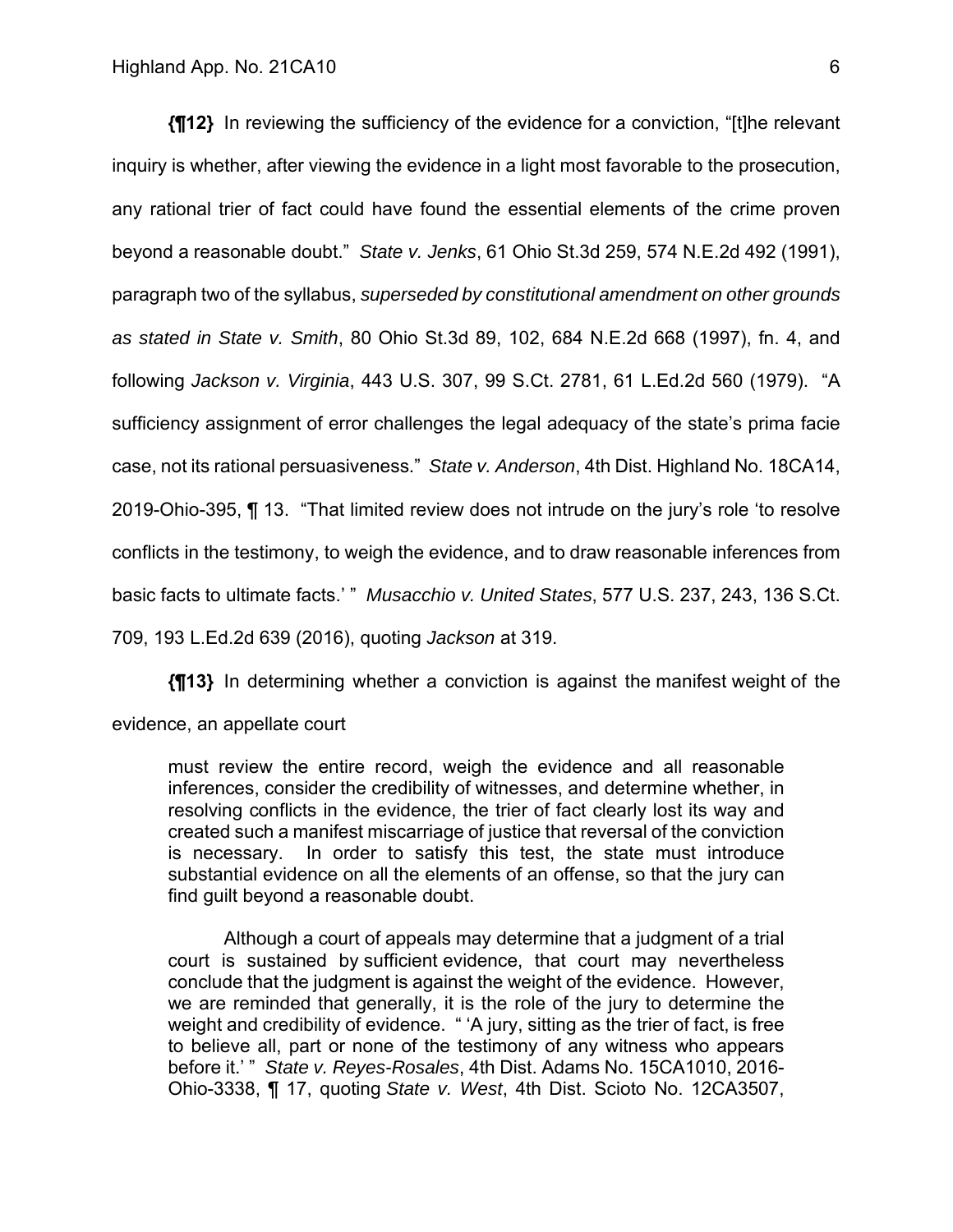**{¶12}** In reviewing the sufficiency of the evidence for a conviction, "[t]he relevant inquiry is whether, after viewing the evidence in a light most favorable to the prosecution, any rational trier of fact could have found the essential elements of the crime proven beyond a reasonable doubt." *State v. Jenks*, 61 Ohio St.3d 259, 574 N.E.2d 492 (1991), paragraph two of the syllabus, *superseded by constitutional amendment on other grounds as stated in State v. Smith*, 80 Ohio St.3d 89, 102, 684 N.E.2d 668 (1997), fn. 4, and following *Jackson v. Virginia*, 443 U.S. 307, 99 S.Ct. 2781, 61 L.Ed.2d 560 (1979). "A sufficiency assignment of error challenges the legal adequacy of the state's prima facie case, not its rational persuasiveness." *State v. Anderson*, 4th Dist. Highland No. 18CA14, 2019-Ohio-395, ¶ 13. "That limited review does not intrude on the jury's role 'to resolve conflicts in the testimony, to weigh the evidence, and to draw reasonable inferences from basic facts to ultimate facts.' " *Musacchio v. United States*, 577 U.S. 237, 243, 136 S.Ct. 709, 193 L.Ed.2d 639 (2016), quoting *Jackson* at 319.

**{¶13}** In determining whether a conviction is against the manifest weight of the

evidence, an appellate court

must review the entire record, weigh the evidence and all reasonable inferences, consider the credibility of witnesses, and determine whether, in resolving conflicts in the evidence, the trier of fact clearly lost its way and created such a manifest miscarriage of justice that reversal of the conviction is necessary. In order to satisfy this test, the state must introduce substantial evidence on all the elements of an offense, so that the jury can find guilt beyond a reasonable doubt.

Although a court of appeals may determine that a judgment of a trial court is sustained by sufficient evidence, that court may nevertheless conclude that the judgment is against the weight of the evidence. However, we are reminded that generally, it is the role of the jury to determine the weight and credibility of evidence. " 'A jury, sitting as the trier of fact, is free to believe all, part or none of the testimony of any witness who appears before it.' " *State v. Reyes-Rosales*, 4th Dist. Adams No. 15CA1010, 2016- Ohio-3338, ¶ 17, quoting *State v. West*, 4th Dist. Scioto No. 12CA3507,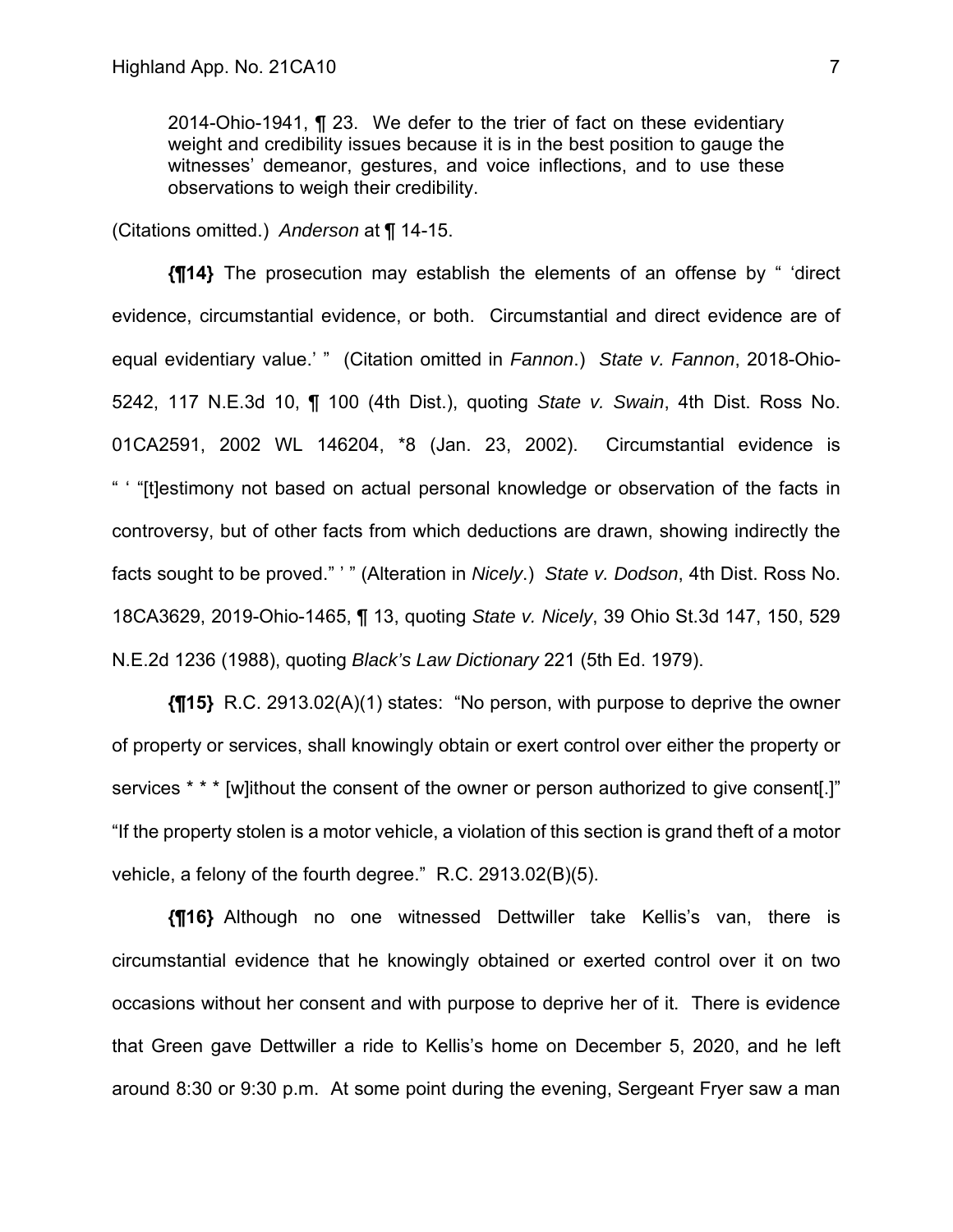2014-Ohio-1941, ¶ 23. We defer to the trier of fact on these evidentiary weight and credibility issues because it is in the best position to gauge the witnesses' demeanor, gestures, and voice inflections, and to use these observations to weigh their credibility.

(Citations omitted.) *Anderson* at ¶ 14-15.

**{¶14}** The prosecution may establish the elements of an offense by " 'direct evidence, circumstantial evidence, or both. Circumstantial and direct evidence are of equal evidentiary value.' " (Citation omitted in *Fannon*.) *State v. Fannon*, 2018-Ohio-5242, 117 N.E.3d 10, ¶ 100 (4th Dist.), quoting *State v. Swain*, 4th Dist. Ross No. 01CA2591, 2002 WL 146204, \*8 (Jan. 23, 2002). Circumstantial evidence is " ' "[t]estimony not based on actual personal knowledge or observation of the facts in controversy, but of other facts from which deductions are drawn, showing indirectly the facts sought to be proved." ' " (Alteration in *Nicely*.) *State v. Dodson*, 4th Dist. Ross No. 18CA3629, 2019-Ohio-1465, ¶ 13, quoting *State v. Nicely*, 39 Ohio St.3d 147, 150, 529 N.E.2d 1236 (1988), quoting *Black's Law Dictionary* 221 (5th Ed. 1979).

**{¶15}** R.C. 2913.02(A)(1) states: "No person, with purpose to deprive the owner of property or services, shall knowingly obtain or exert control over either the property or services \* \* \* [w]ithout the consent of the owner or person authorized to give consent.]" "If the property stolen is a motor vehicle, a violation of this section is grand theft of a motor vehicle, a felony of the fourth degree." R.C. 2913.02(B)(5).

**{¶16}** Although no one witnessed Dettwiller take Kellis's van, there is circumstantial evidence that he knowingly obtained or exerted control over it on two occasions without her consent and with purpose to deprive her of it. There is evidence that Green gave Dettwiller a ride to Kellis's home on December 5, 2020, and he left around 8:30 or 9:30 p.m. At some point during the evening, Sergeant Fryer saw a man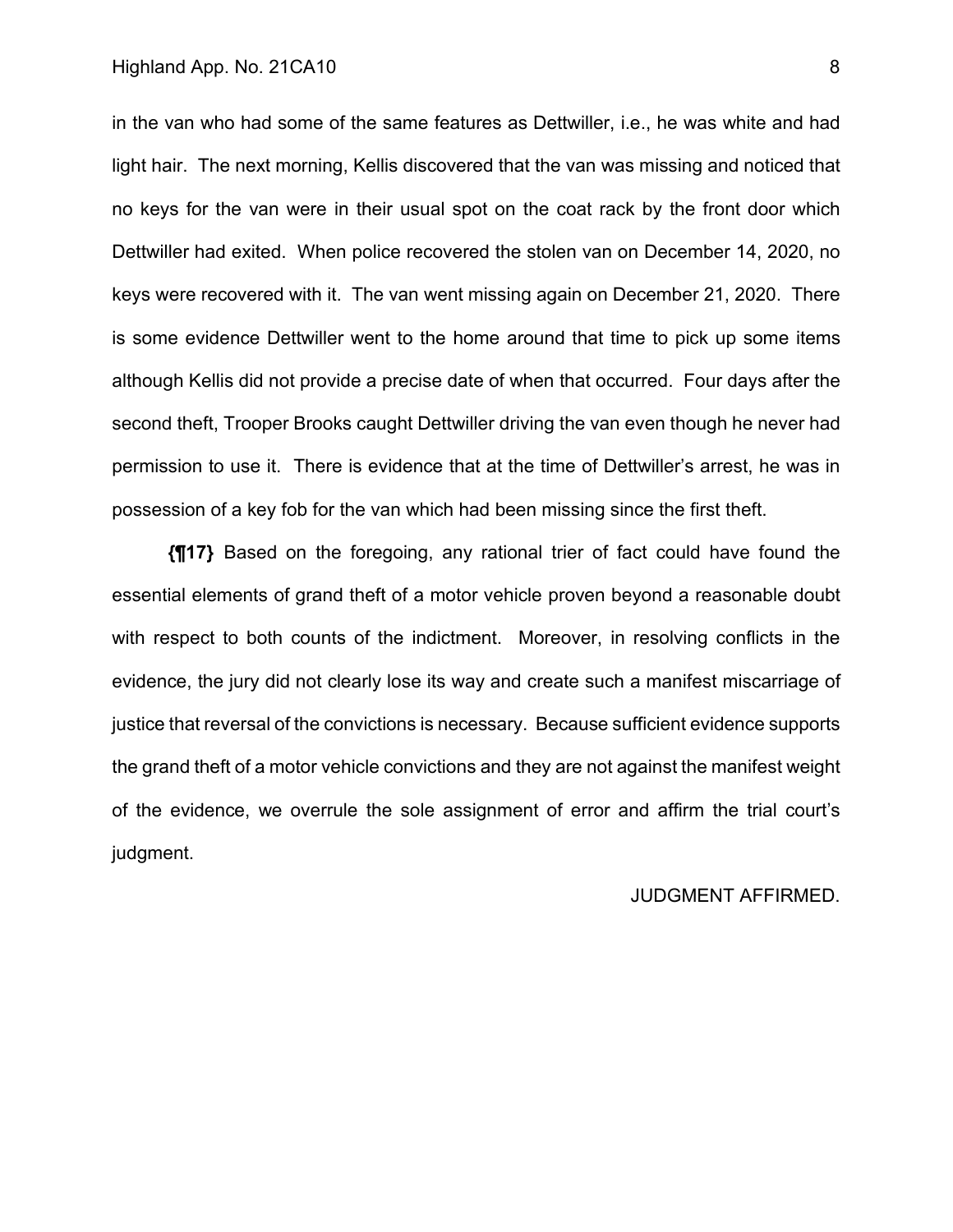### Highland App. No. 21CA10 8

in the van who had some of the same features as Dettwiller, i.e., he was white and had light hair. The next morning, Kellis discovered that the van was missing and noticed that no keys for the van were in their usual spot on the coat rack by the front door which Dettwiller had exited. When police recovered the stolen van on December 14, 2020, no keys were recovered with it. The van went missing again on December 21, 2020. There is some evidence Dettwiller went to the home around that time to pick up some items although Kellis did not provide a precise date of when that occurred. Four days after the second theft, Trooper Brooks caught Dettwiller driving the van even though he never had permission to use it. There is evidence that at the time of Dettwiller's arrest, he was in possession of a key fob for the van which had been missing since the first theft.

**{¶17}** Based on the foregoing, any rational trier of fact could have found the essential elements of grand theft of a motor vehicle proven beyond a reasonable doubt with respect to both counts of the indictment. Moreover, in resolving conflicts in the evidence, the jury did not clearly lose its way and create such a manifest miscarriage of justice that reversal of the convictions is necessary. Because sufficient evidence supports the grand theft of a motor vehicle convictions and they are not against the manifest weight of the evidence, we overrule the sole assignment of error and affirm the trial court's judgment.

### JUDGMENT AFFIRMED.